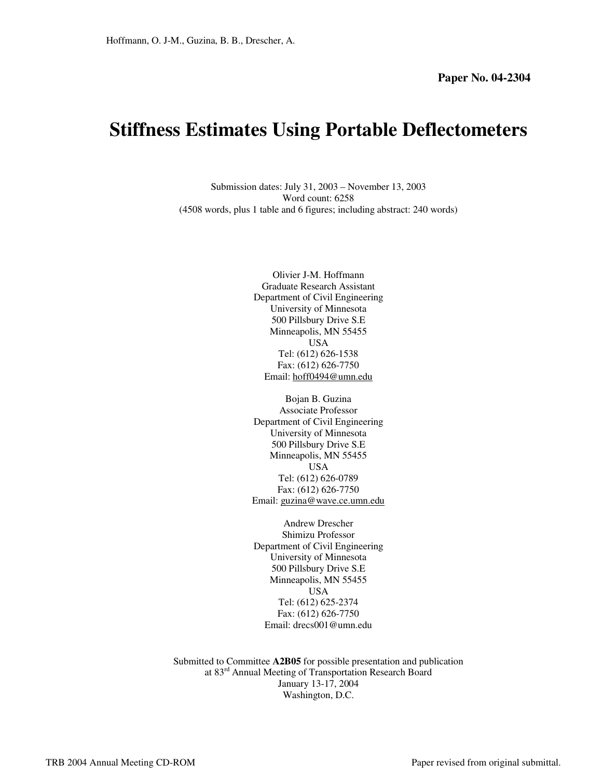# **Stiffness Estimates Using Portable Deflectometers**

Submission dates: July 31, 2003 – November 13, 2003 Word count: 6258 (4508 words, plus 1 table and 6 figures; including abstract: 240 words)

> Olivier J-M. Hoffmann Graduate Research Assistant Department of Civil Engineering University of Minnesota 500 Pillsbury Drive S.E Minneapolis, MN 55455 USA Tel: (612) 626-1538 Fax: (612) 626-7750 Email: hoff0494@umn.edu

> Bojan B. Guzina Associate Professor Department of Civil Engineering University of Minnesota 500 Pillsbury Drive S.E Minneapolis, MN 55455 USA Tel: (612) 626-0789 Fax: (612) 626-7750

Email: guzina@wave.ce.umn.edu

Andrew Drescher Shimizu Professor Department of Civil Engineering University of Minnesota 500 Pillsbury Drive S.E Minneapolis, MN 55455 USA Tel: (612) 625-2374 Fax: (612) 626-7750 Email: drecs001@umn.edu

Submitted to Committee **A2B05** for possible presentation and publication at 83rd Annual Meeting of Transportation Research Board January 13-17, 2004 Washington, D.C.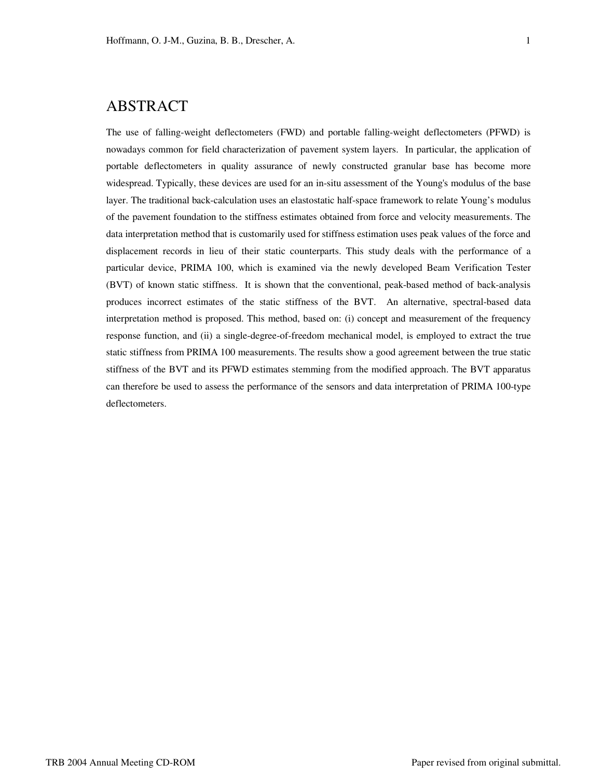### ABSTRACT

The use of falling-weight deflectometers (FWD) and portable falling-weight deflectometers (PFWD) is nowadays common for field characterization of pavement system layers. In particular, the application of portable deflectometers in quality assurance of newly constructed granular base has become more widespread. Typically, these devices are used for an in-situ assessment of the Young's modulus of the base layer. The traditional back-calculation uses an elastostatic half-space framework to relate Young's modulus of the pavement foundation to the stiffness estimates obtained from force and velocity measurements. The data interpretation method that is customarily used for stiffness estimation uses peak values of the force and displacement records in lieu of their static counterparts. This study deals with the performance of a particular device, PRIMA 100, which is examined via the newly developed Beam Verification Tester (BVT) of known static stiffness. It is shown that the conventional, peak-based method of back-analysis produces incorrect estimates of the static stiffness of the BVT. An alternative, spectral-based data interpretation method is proposed. This method, based on: (i) concept and measurement of the frequency response function, and (ii) a single-degree-of-freedom mechanical model, is employed to extract the true static stiffness from PRIMA 100 measurements. The results show a good agreement between the true static stiffness of the BVT and its PFWD estimates stemming from the modified approach. The BVT apparatus can therefore be used to assess the performance of the sensors and data interpretation of PRIMA 100-type deflectometers.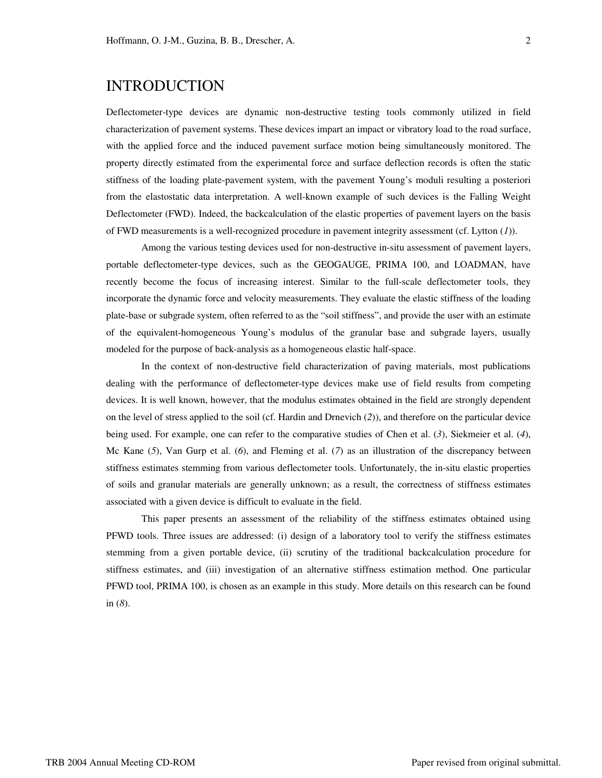### INTRODUCTION

Deflectometer-type devices are dynamic non-destructive testing tools commonly utilized in field characterization of pavement systems. These devices impart an impact or vibratory load to the road surface, with the applied force and the induced pavement surface motion being simultaneously monitored. The property directly estimated from the experimental force and surface deflection records is often the static stiffness of the loading plate-pavement system, with the pavement Young's moduli resulting a posteriori from the elastostatic data interpretation. A well-known example of such devices is the Falling Weight Deflectometer (FWD). Indeed, the backcalculation of the elastic properties of pavement layers on the basis of FWD measurements is a well-recognized procedure in pavement integrity assessment (cf. Lytton (*1*)).

Among the various testing devices used for non-destructive in-situ assessment of pavement layers, portable deflectometer-type devices, such as the GEOGAUGE, PRIMA 100, and LOADMAN, have recently become the focus of increasing interest. Similar to the full-scale deflectometer tools, they incorporate the dynamic force and velocity measurements. They evaluate the elastic stiffness of the loading plate-base or subgrade system, often referred to as the "soil stiffness", and provide the user with an estimate of the equivalent-homogeneous Young's modulus of the granular base and subgrade layers, usually modeled for the purpose of back-analysis as a homogeneous elastic half-space.

In the context of non-destructive field characterization of paving materials, most publications dealing with the performance of deflectometer-type devices make use of field results from competing devices. It is well known, however, that the modulus estimates obtained in the field are strongly dependent on the level of stress applied to the soil (cf. Hardin and Drnevich (*2*)), and therefore on the particular device being used. For example, one can refer to the comparative studies of Chen et al. (*3*), Siekmeier et al. (*4*), Mc Kane (*5*), Van Gurp et al. (*6*), and Fleming et al. (*7*) as an illustration of the discrepancy between stiffness estimates stemming from various deflectometer tools. Unfortunately, the in-situ elastic properties of soils and granular materials are generally unknown; as a result, the correctness of stiffness estimates associated with a given device is difficult to evaluate in the field.

This paper presents an assessment of the reliability of the stiffness estimates obtained using PFWD tools. Three issues are addressed: (i) design of a laboratory tool to verify the stiffness estimates stemming from a given portable device, (ii) scrutiny of the traditional backcalculation procedure for stiffness estimates, and (iii) investigation of an alternative stiffness estimation method. One particular PFWD tool, PRIMA 100, is chosen as an example in this study. More details on this research can be found in (*8*).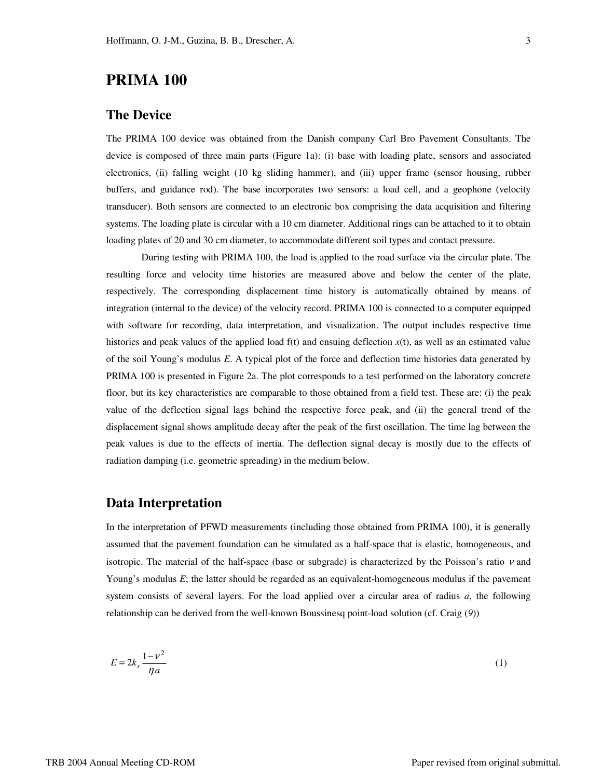# **PRIMA 100**

### **The Device**

The PRIMA 100 device was obtained from the Danish company Carl Bro Pavement Consultants. The device is composed of three main parts (Figure 1a): (i) base with loading plate, sensors and associated electronics, (ii) falling weight (10 kg sliding hammer), and (iii) upper frame (sensor housing, rubber buffers, and guidance rod). The base incorporates two sensors: a load cell, and a geophone (velocity transducer). Both sensors are connected to an electronic box comprising the data acquisition and filtering systems. The loading plate is circular with a 10 cm diameter. Additional rings can be attached to it to obtain loading plates of 20 and 30 cm diameter, to accommodate different soil types and contact pressure.

During testing with PRIMA 100, the load is applied to the road surface via the circular plate. The resulting force and velocity time histories are measured above and below the center of the plate, respectively. The corresponding displacement time history is automatically obtained by means of integration (internal to the device) of the velocity record. PRIMA 100 is connected to a computer equipped with software for recording, data interpretation, and visualization. The output includes respective time histories and peak values of the applied load f(t) and ensuing deflection  $x(t)$ , as well as an estimated value of the soil Young's modulus *E*. A typical plot of the force and deflection time histories data generated by PRIMA 100 is presented in Figure 2a. The plot corresponds to a test performed on the laboratory concrete floor, but its key characteristics are comparable to those obtained from a field test. These are: (i) the peak value of the deflection signal lags behind the respective force peak, and (ii) the general trend of the displacement signal shows amplitude decay after the peak of the first oscillation. The time lag between the peak values is due to the effects of inertia. The deflection signal decay is mostly due to the effects of radiation damping (i.e. geometric spreading) in the medium below.

#### **Data Interpretation**

In the interpretation of PFWD measurements (including those obtained from PRIMA 100), it is generally assumed that the pavement foundation can be simulated as a half-space that is elastic, homogeneous, and isotropic. The material of the half-space (base or subgrade) is characterized by the Poisson's ratio ν and Young's modulus *E*; the latter should be regarded as an equivalent-homogeneous modulus if the pavement system consists of several layers. For the load applied over a circular area of radius *a*, the following relationship can be derived from the well-known Boussinesq point-load solution (cf. Craig (*9*))

$$
E = 2k_s \frac{1 - v^2}{\eta a} \tag{1}
$$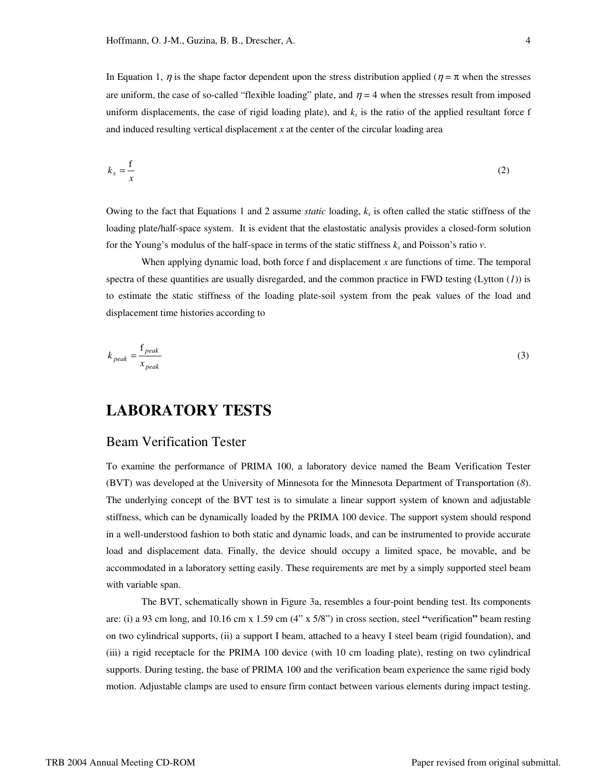In Equation 1,  $\eta$  is the shape factor dependent upon the stress distribution applied ( $\eta = \pi$  when the stresses are uniform, the case of so-called "flexible loading" plate, and  $\eta = 4$  when the stresses result from imposed uniform displacements, the case of rigid loading plate), and  $k<sub>s</sub>$  is the ratio of the applied resultant force f and induced resulting vertical displacement *x* at the center of the circular loading area

$$
k_s = \frac{f}{x} \tag{2}
$$

Owing to the fact that Equations 1 and 2 assume *static* loading, *ks* is often called the static stiffness of the loading plate/half-space system. It is evident that the elastostatic analysis provides a closed-form solution for the Young's modulus of the half-space in terms of the static stiffness  $k_s$  and Poisson's ratio  $v$ .

 When applying dynamic load, both force f and displacement *x* are functions of time. The temporal spectra of these quantities are usually disregarded, and the common practice in FWD testing (Lytton (*1*)) is to estimate the static stiffness of the loading plate-soil system from the peak values of the load and displacement time histories according to

$$
k_{\text{peak}} = \frac{f_{\text{peak}}}{x_{\text{peak}}} \tag{3}
$$

### **LABORATORY TESTS**

#### Beam Verification Tester

To examine the performance of PRIMA 100, a laboratory device named the Beam Verification Tester (BVT) was developed at the University of Minnesota for the Minnesota Department of Transportation (*8*). The underlying concept of the BVT test is to simulate a linear support system of known and adjustable stiffness, which can be dynamically loaded by the PRIMA 100 device. The support system should respond in a well-understood fashion to both static and dynamic loads, and can be instrumented to provide accurate load and displacement data. Finally, the device should occupy a limited space, be movable, and be accommodated in a laboratory setting easily. These requirements are met by a simply supported steel beam with variable span.

The BVT, schematically shown in Figure 3a, resembles a four-point bending test. Its components are: (i) a 93 cm long, and 10.16 cm x 1.59 cm (4" x 5/8") in cross section, steel **"**verification**"** beam resting on two cylindrical supports, (ii) a support I beam, attached to a heavy I steel beam (rigid foundation), and (iii) a rigid receptacle for the PRIMA 100 device (with 10 cm loading plate), resting on two cylindrical supports. During testing, the base of PRIMA 100 and the verification beam experience the same rigid body motion. Adjustable clamps are used to ensure firm contact between various elements during impact testing.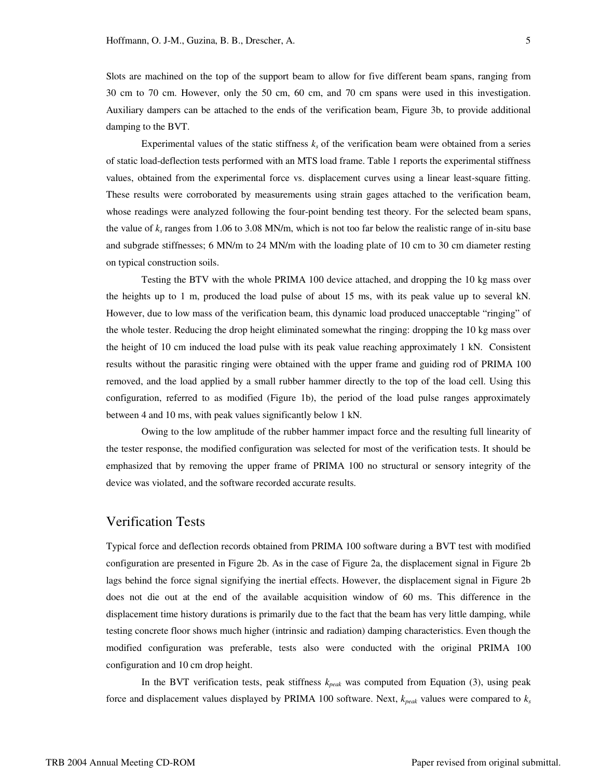Slots are machined on the top of the support beam to allow for five different beam spans, ranging from 30 cm to 70 cm. However, only the 50 cm, 60 cm, and 70 cm spans were used in this investigation. Auxiliary dampers can be attached to the ends of the verification beam, Figure 3b, to provide additional damping to the BVT.

Experimental values of the static stiffness  $k<sub>s</sub>$  of the verification beam were obtained from a series of static load-deflection tests performed with an MTS load frame. Table 1 reports the experimental stiffness values, obtained from the experimental force vs. displacement curves using a linear least-square fitting. These results were corroborated by measurements using strain gages attached to the verification beam, whose readings were analyzed following the four-point bending test theory. For the selected beam spans, the value of *ks* ranges from 1.06 to 3.08 MN/m, which is not too far below the realistic range of in-situ base and subgrade stiffnesses; 6 MN/m to 24 MN/m with the loading plate of 10 cm to 30 cm diameter resting on typical construction soils.

Testing the BTV with the whole PRIMA 100 device attached, and dropping the 10 kg mass over the heights up to 1 m, produced the load pulse of about 15 ms, with its peak value up to several kN. However, due to low mass of the verification beam, this dynamic load produced unacceptable "ringing" of the whole tester. Reducing the drop height eliminated somewhat the ringing: dropping the 10 kg mass over the height of 10 cm induced the load pulse with its peak value reaching approximately 1 kN. Consistent results without the parasitic ringing were obtained with the upper frame and guiding rod of PRIMA 100 removed, and the load applied by a small rubber hammer directly to the top of the load cell. Using this configuration, referred to as modified (Figure 1b), the period of the load pulse ranges approximately between 4 and 10 ms, with peak values significantly below 1 kN.

Owing to the low amplitude of the rubber hammer impact force and the resulting full linearity of the tester response, the modified configuration was selected for most of the verification tests. It should be emphasized that by removing the upper frame of PRIMA 100 no structural or sensory integrity of the device was violated, and the software recorded accurate results.

#### Verification Tests

Typical force and deflection records obtained from PRIMA 100 software during a BVT test with modified configuration are presented in Figure 2b. As in the case of Figure 2a, the displacement signal in Figure 2b lags behind the force signal signifying the inertial effects. However, the displacement signal in Figure 2b does not die out at the end of the available acquisition window of 60 ms. This difference in the displacement time history durations is primarily due to the fact that the beam has very little damping, while testing concrete floor shows much higher (intrinsic and radiation) damping characteristics. Even though the modified configuration was preferable, tests also were conducted with the original PRIMA 100 configuration and 10 cm drop height.

In the BVT verification tests, peak stiffness *kpeak* was computed from Equation (3), using peak force and displacement values displayed by PRIMA 100 software. Next, *kpeak* values were compared to *ks*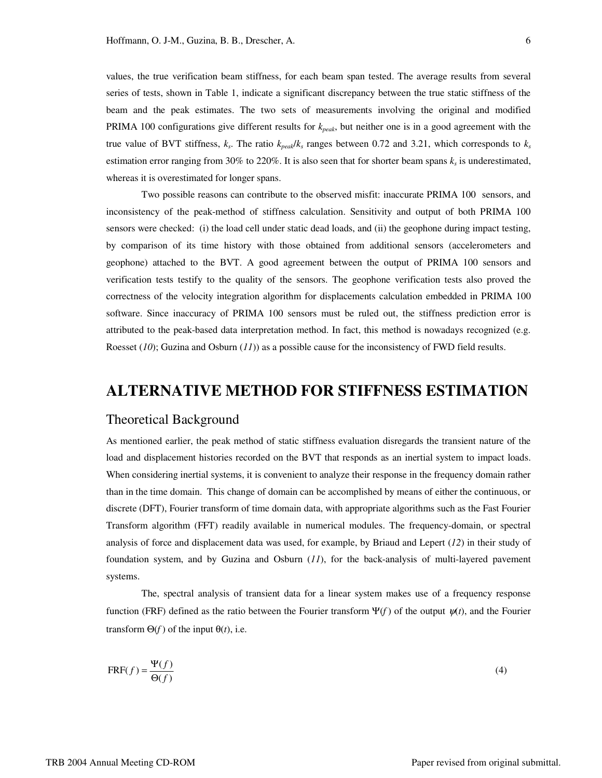values, the true verification beam stiffness, for each beam span tested. The average results from several series of tests, shown in Table 1, indicate a significant discrepancy between the true static stiffness of the beam and the peak estimates. The two sets of measurements involving the original and modified PRIMA 100 configurations give different results for *kpeak*, but neither one is in a good agreement with the true value of BVT stiffness,  $k_s$ . The ratio  $k_{peak}/k_s$  ranges between 0.72 and 3.21, which corresponds to  $k_s$ estimation error ranging from  $30\%$  to  $220\%$ . It is also seen that for shorter beam spans  $k_s$  is underestimated, whereas it is overestimated for longer spans.

Two possible reasons can contribute to the observed misfit: inaccurate PRIMA 100 sensors, and inconsistency of the peak-method of stiffness calculation. Sensitivity and output of both PRIMA 100 sensors were checked: (i) the load cell under static dead loads, and (ii) the geophone during impact testing, by comparison of its time history with those obtained from additional sensors (accelerometers and geophone) attached to the BVT. A good agreement between the output of PRIMA 100 sensors and verification tests testify to the quality of the sensors. The geophone verification tests also proved the correctness of the velocity integration algorithm for displacements calculation embedded in PRIMA 100 software. Since inaccuracy of PRIMA 100 sensors must be ruled out, the stiffness prediction error is attributed to the peak-based data interpretation method. In fact, this method is nowadays recognized (e.g. Roesset (*10*); Guzina and Osburn (*11*)) as a possible cause for the inconsistency of FWD field results.

### **ALTERNATIVE METHOD FOR STIFFNESS ESTIMATION**

#### Theoretical Background

As mentioned earlier, the peak method of static stiffness evaluation disregards the transient nature of the load and displacement histories recorded on the BVT that responds as an inertial system to impact loads. When considering inertial systems, it is convenient to analyze their response in the frequency domain rather than in the time domain. This change of domain can be accomplished by means of either the continuous, or discrete (DFT), Fourier transform of time domain data, with appropriate algorithms such as the Fast Fourier Transform algorithm (FFT) readily available in numerical modules. The frequency-domain, or spectral analysis of force and displacement data was used, for example, by Briaud and Lepert (*12*) in their study of foundation system, and by Guzina and Osburn (*11*), for the back-analysis of multi-layered pavement systems.

The, spectral analysis of transient data for a linear system makes use of a frequency response function (FRF) defined as the ratio between the Fourier transform  $\Psi(f)$  of the output  $\psi(t)$ , and the Fourier transform  $\Theta(f)$  of the input  $\Theta(t)$ , i.e.

$$
FRF(f) = \frac{\Psi(f)}{\Theta(f)}
$$
 (4)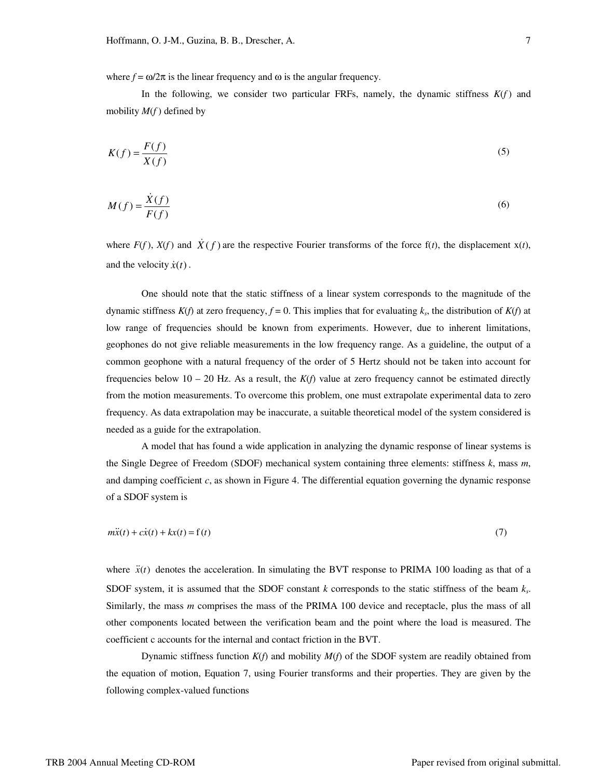where  $f = \omega/2\pi$  is the linear frequency and  $\omega$  is the angular frequency.

In the following, we consider two particular FRFs, namely, the dynamic stiffness  $K(f)$  and mobility  $M(f)$  defined by

$$
K(f) = \frac{F(f)}{X(f)}
$$
\n<sup>(5)</sup>

$$
M(f) = \frac{\dot{X}(f)}{F(f)}
$$
(6)

where  $F(f)$ ,  $X(f)$  and  $\overline{X}(f)$  are the respective Fourier transforms of the force  $f(t)$ , the displacement  $x(t)$ , and the velocity  $\dot{x}(t)$ .

 One should note that the static stiffness of a linear system corresponds to the magnitude of the dynamic stiffness  $K(f)$  at zero frequency,  $f = 0$ . This implies that for evaluating  $k_s$ , the distribution of  $K(f)$  at low range of frequencies should be known from experiments. However, due to inherent limitations, geophones do not give reliable measurements in the low frequency range. As a guideline, the output of a common geophone with a natural frequency of the order of 5 Hertz should not be taken into account for frequencies below  $10 - 20$  Hz. As a result, the  $K(f)$  value at zero frequency cannot be estimated directly from the motion measurements. To overcome this problem, one must extrapolate experimental data to zero frequency. As data extrapolation may be inaccurate, a suitable theoretical model of the system considered is needed as a guide for the extrapolation.

A model that has found a wide application in analyzing the dynamic response of linear systems is the Single Degree of Freedom (SDOF) mechanical system containing three elements: stiffness *k*, mass *m*, and damping coefficient *c*, as shown in Figure 4. The differential equation governing the dynamic response of a SDOF system is

$$
m\ddot{x}(t) + c\dot{x}(t) + kx(t) = f(t)
$$
\n<sup>(7)</sup>

where  $\ddot{x}(t)$  denotes the acceleration. In simulating the BVT response to PRIMA 100 loading as that of a SDOF system, it is assumed that the SDOF constant *k* corresponds to the static stiffness of the beam *ks*. Similarly, the mass *m* comprises the mass of the PRIMA 100 device and receptacle, plus the mass of all other components located between the verification beam and the point where the load is measured. The coefficient c accounts for the internal and contact friction in the BVT.

Dynamic stiffness function  $K(f)$  and mobility  $M(f)$  of the SDOF system are readily obtained from the equation of motion, Equation 7, using Fourier transforms and their properties. They are given by the following complex-valued functions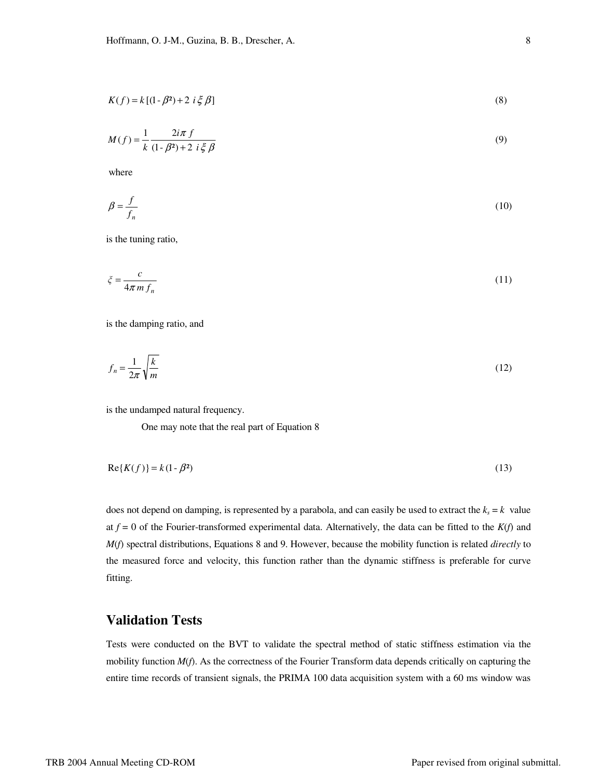$$
K(f) = k[(1 - \beta^2) + 2 i \xi \beta]
$$
\n(8)

$$
M(f) = \frac{1}{k} \frac{2i\pi f}{(1 - \beta^2) + 2 i \xi \beta}
$$
(9)

where

$$
\beta = \frac{f}{f_n} \tag{10}
$$

is the tuning ratio,

$$
\xi = \frac{c}{4\pi m f_n} \tag{11}
$$

is the damping ratio, and

$$
f_n = \frac{1}{2\pi} \sqrt{\frac{k}{m}}\tag{12}
$$

is the undamped natural frequency.

One may note that the real part of Equation 8

$$
\operatorname{Re}\{K(f)\}=k(1-\beta^2)\tag{13}
$$

does not depend on damping, is represented by a parabola, and can easily be used to extract the  $k_s = k$  value at  $f = 0$  of the Fourier-transformed experimental data. Alternatively, the data can be fitted to the  $K(f)$  and *M*(*f*) spectral distributions, Equations 8 and 9. However, because the mobility function is related *directly* to the measured force and velocity, this function rather than the dynamic stiffness is preferable for curve fitting.

### **Validation Tests**

Tests were conducted on the BVT to validate the spectral method of static stiffness estimation via the mobility function *M*(*f*). As the correctness of the Fourier Transform data depends critically on capturing the entire time records of transient signals, the PRIMA 100 data acquisition system with a 60 ms window was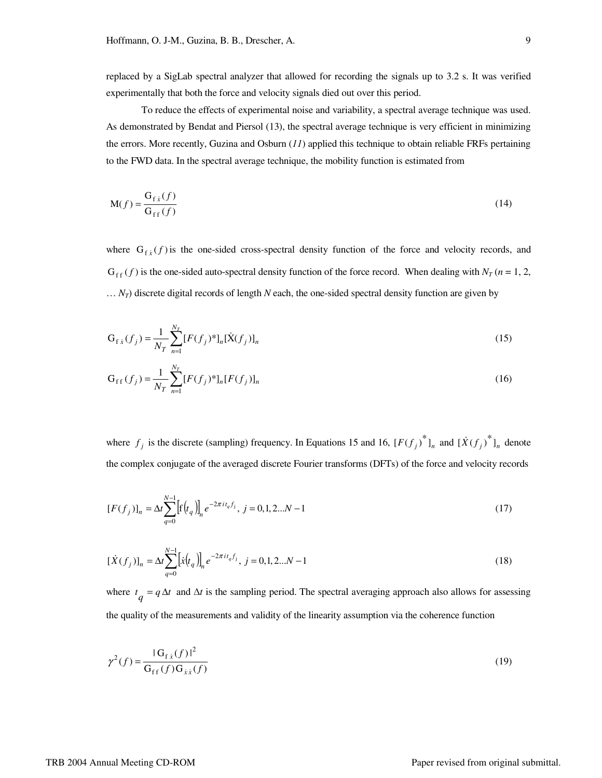replaced by a SigLab spectral analyzer that allowed for recording the signals up to 3.2 s. It was verified experimentally that both the force and velocity signals died out over this period.

To reduce the effects of experimental noise and variability, a spectral average technique was used. As demonstrated by Bendat and Piersol (13), the spectral average technique is very efficient in minimizing the errors. More recently, Guzina and Osburn (*11*) applied this technique to obtain reliable FRFs pertaining to the FWD data. In the spectral average technique, the mobility function is estimated from

$$
M(f) = \frac{G_{f\dot{x}}(f)}{G_{ff}(f)}
$$
(14)

where  $G_{f, \dot{x}}(f)$  is the one-sided cross-spectral density function of the force and velocity records, and  $G_{\rm ff}(f)$  is the one-sided auto-spectral density function of the force record. When dealing with  $N_T$  ( $n = 1, 2$ ,  $\ldots$  *N<sub>T</sub>*) discrete digital records of length *N* each, the one-sided spectral density function are given by

$$
G_{f\dot{x}}(f_j) = \frac{1}{N_T} \sum_{n=1}^{N_T} [F(f_j)^*]_n [\dot{X}(f_j)]_n
$$
\n(15)

$$
G_{ff}(f_j) = \frac{1}{N_T} \sum_{n=1}^{N_T} [F(f_j)^*]_n [F(f_j)]_n
$$
\n(16)

where  $f_j$  is the discrete (sampling) frequency. In Equations 15 and 16,  $[F(f_j)^*]_n$  and  $[\dot{X}(f_j)^*]_n$  denote the complex conjugate of the averaged discrete Fourier transforms (DFTs) of the force and velocity records

$$
[F(f_j)]_n = \Delta t \sum_{q=0}^{N-1} [f(t_q)]_n e^{-2\pi i t_q f_j}, \ j = 0, 1, 2...N-1
$$
\n(17)

$$
[\dot{X}(f_j)]_n = \Delta t \sum_{q=0}^{N-1} [\dot{x}(t_q)]_n e^{-2\pi i t_q f_j}, \ j = 0, 1, 2...N-1
$$
\n(18)

where  $t_q = q \Delta t$  and  $\Delta t$  is the sampling period. The spectral averaging approach also allows for assessing the quality of the measurements and validity of the linearity assumption via the coherence function

$$
\gamma^2(f) = \frac{|G_{f\dot{x}}(f)|^2}{G_{ff}(f)G_{\dot{x}\dot{x}}(f)}
$$
\n(19)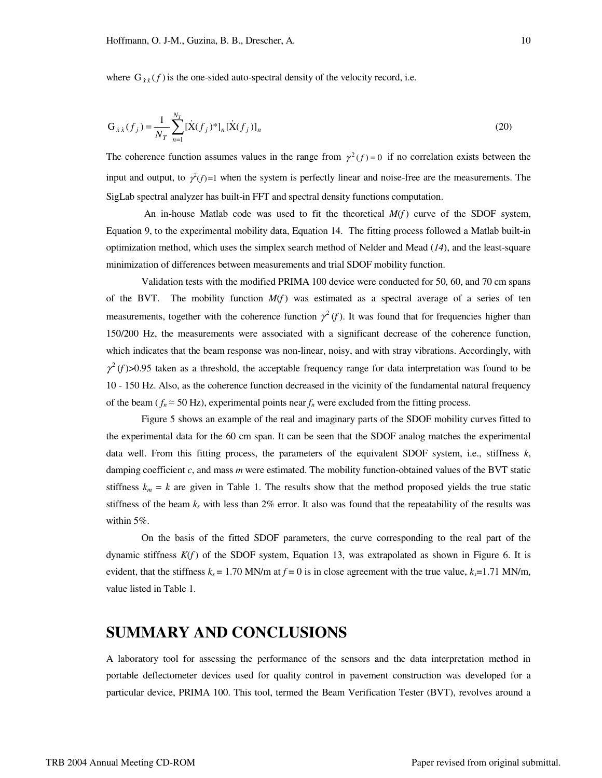where  $G_{\dot{x}\dot{x}}(f)$  is the one-sided auto-spectral density of the velocity record, i.e.

$$
G_{\dot{x}\dot{x}}(f_j) = \frac{1}{N_T} \sum_{n=1}^{N_T} [\dot{X}(f_j)^*]_n [\dot{X}(f_j)]_n
$$
\n(20)

The coherence function assumes values in the range from  $\gamma^2(f) = 0$  if no correlation exists between the input and output, to  $\gamma^2(f)=1$  when the system is perfectly linear and noise-free are the measurements. The SigLab spectral analyzer has built-in FFT and spectral density functions computation.

 An in-house Matlab code was used to fit the theoretical *M*(*f* ) curve of the SDOF system, Equation 9, to the experimental mobility data, Equation 14. The fitting process followed a Matlab built-in optimization method, which uses the simplex search method of Nelder and Mead (*14*), and the least-square minimization of differences between measurements and trial SDOF mobility function.

Validation tests with the modified PRIMA 100 device were conducted for 50, 60, and 70 cm spans of the BVT. The mobility function  $M(f)$  was estimated as a spectral average of a series of ten measurements, together with the coherence function  $\gamma^2(f)$ . It was found that for frequencies higher than 150/200 Hz, the measurements were associated with a significant decrease of the coherence function, which indicates that the beam response was non-linear, noisy, and with stray vibrations. Accordingly, with  $\gamma^2$  (*f*) >0.95 taken as a threshold, the acceptable frequency range for data interpretation was found to be 10 - 150 Hz. Also, as the coherence function decreased in the vicinity of the fundamental natural frequency of the beam ( $f_n \approx 50$  Hz), experimental points near  $f_n$  were excluded from the fitting process.

Figure 5 shows an example of the real and imaginary parts of the SDOF mobility curves fitted to the experimental data for the 60 cm span. It can be seen that the SDOF analog matches the experimental data well. From this fitting process, the parameters of the equivalent SDOF system, i.e., stiffness *k*, damping coefficient *c*, and mass *m* were estimated. The mobility function-obtained values of the BVT static stiffness  $k_m = k$  are given in Table 1. The results show that the method proposed yields the true static stiffness of the beam  $k_s$  with less than 2% error. It also was found that the repeatability of the results was within 5%.

On the basis of the fitted SDOF parameters, the curve corresponding to the real part of the dynamic stiffness *K*(*f* ) of the SDOF system, Equation 13, was extrapolated as shown in Figure 6. It is evident, that the stiffness  $k_s = 1.70$  MN/m at  $f = 0$  is in close agreement with the true value,  $k_s = 1.71$  MN/m, value listed in Table 1.

# **SUMMARY AND CONCLUSIONS**

A laboratory tool for assessing the performance of the sensors and the data interpretation method in portable deflectometer devices used for quality control in pavement construction was developed for a particular device, PRIMA 100. This tool, termed the Beam Verification Tester (BVT), revolves around a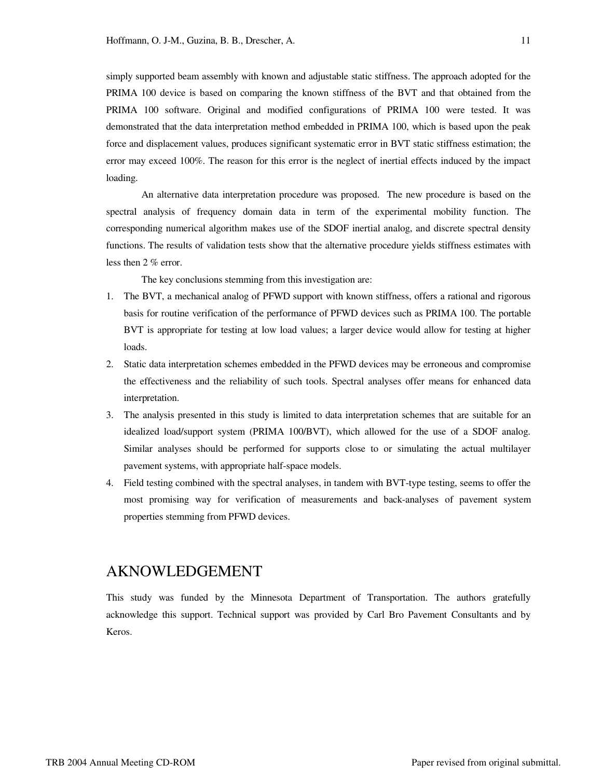simply supported beam assembly with known and adjustable static stiffness. The approach adopted for the PRIMA 100 device is based on comparing the known stiffness of the BVT and that obtained from the PRIMA 100 software. Original and modified configurations of PRIMA 100 were tested. It was demonstrated that the data interpretation method embedded in PRIMA 100, which is based upon the peak force and displacement values, produces significant systematic error in BVT static stiffness estimation; the error may exceed 100%. The reason for this error is the neglect of inertial effects induced by the impact loading.

 An alternative data interpretation procedure was proposed. The new procedure is based on the spectral analysis of frequency domain data in term of the experimental mobility function. The corresponding numerical algorithm makes use of the SDOF inertial analog, and discrete spectral density functions. The results of validation tests show that the alternative procedure yields stiffness estimates with less then 2 % error.

The key conclusions stemming from this investigation are:

- 1. The BVT, a mechanical analog of PFWD support with known stiffness, offers a rational and rigorous basis for routine verification of the performance of PFWD devices such as PRIMA 100. The portable BVT is appropriate for testing at low load values; a larger device would allow for testing at higher loads.
- 2. Static data interpretation schemes embedded in the PFWD devices may be erroneous and compromise the effectiveness and the reliability of such tools. Spectral analyses offer means for enhanced data interpretation.
- 3. The analysis presented in this study is limited to data interpretation schemes that are suitable for an idealized load/support system (PRIMA 100/BVT), which allowed for the use of a SDOF analog. Similar analyses should be performed for supports close to or simulating the actual multilayer pavement systems, with appropriate half-space models.
- 4. Field testing combined with the spectral analyses, in tandem with BVT-type testing, seems to offer the most promising way for verification of measurements and back-analyses of pavement system properties stemming from PFWD devices.

### AKNOWLEDGEMENT

This study was funded by the Minnesota Department of Transportation. The authors gratefully acknowledge this support. Technical support was provided by Carl Bro Pavement Consultants and by Keros.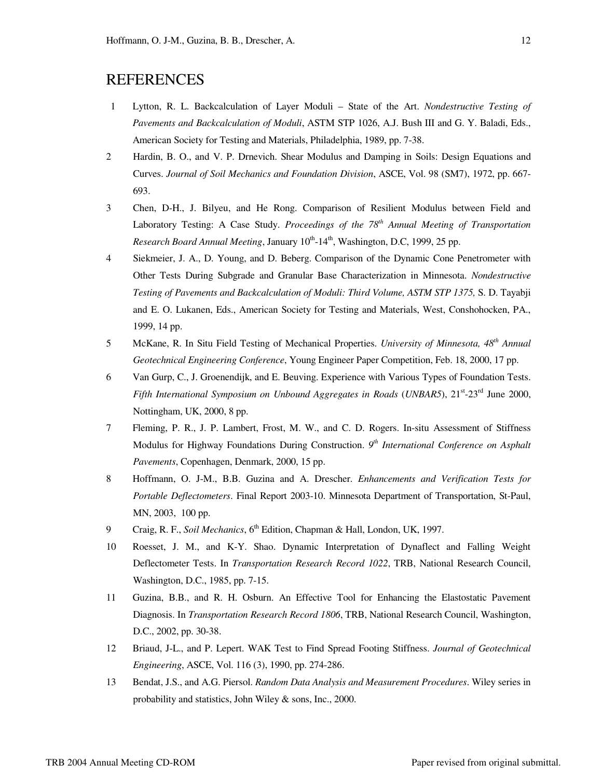## REFERENCES

- 1 Lytton, R. L. Backcalculation of Layer Moduli State of the Art. *Nondestructive Testing of Pavements and Backcalculation of Moduli*, ASTM STP 1026, A.J. Bush III and G. Y. Baladi, Eds., American Society for Testing and Materials, Philadelphia, 1989, pp. 7-38.
- 2 Hardin, B. O., and V. P. Drnevich. Shear Modulus and Damping in Soils: Design Equations and Curves. *Journal of Soil Mechanics and Foundation Division*, ASCE, Vol. 98 (SM7), 1972, pp. 667- 693.
- 3 Chen, D-H., J. Bilyeu, and He Rong. Comparison of Resilient Modulus between Field and Laboratory Testing: A Case Study. *Proceedings of the 78th Annual Meeting of Transportation Research Board Annual Meeting*, January 10<sup>th</sup>-14<sup>th</sup>, Washington, D.C, 1999, 25 pp.
- 4 Siekmeier, J. A., D. Young, and D. Beberg. Comparison of the Dynamic Cone Penetrometer with Other Tests During Subgrade and Granular Base Characterization in Minnesota. *Nondestructive Testing of Pavements and Backcalculation of Moduli: Third Volume, ASTM STP 1375,* S. D. Tayabji and E. O. Lukanen, Eds., American Society for Testing and Materials, West, Conshohocken, PA., 1999, 14 pp.
- 5 McKane, R. In Situ Field Testing of Mechanical Properties. *University of Minnesota, 48th Annual Geotechnical Engineering Conference*, Young Engineer Paper Competition, Feb. 18, 2000, 17 pp.
- 6 Van Gurp, C., J. Groenendijk, and E. Beuving. Experience with Various Types of Foundation Tests. *Fifth International Symposium on Unbound Aggregates in Roads (UNBAR5)*, 21<sup>st-23rd</sup> June 2000, Nottingham, UK, 2000, 8 pp.
- 7 Fleming, P. R., J. P. Lambert, Frost, M. W., and C. D. Rogers. In-situ Assessment of Stiffness Modulus for Highway Foundations During Construction. *9th International Conference on Asphalt Pavements*, Copenhagen, Denmark, 2000, 15 pp.
- 8 Hoffmann, O. J-M., B.B. Guzina and A. Drescher. *Enhancements and Verification Tests for Portable Deflectometers*. Final Report 2003-10. Minnesota Department of Transportation, St-Paul, MN, 2003, 100 pp.
- 9 Craig, R. F., *Soil Mechanics*, 6<sup>th</sup> Edition, Chapman & Hall, London, UK, 1997.
- 10 Roesset, J. M., and K-Y. Shao. Dynamic Interpretation of Dynaflect and Falling Weight Deflectometer Tests. In *Transportation Research Record 1022*, TRB, National Research Council, Washington, D.C., 1985, pp. 7-15.
- 11 Guzina, B.B., and R. H. Osburn. An Effective Tool for Enhancing the Elastostatic Pavement Diagnosis. In *Transportation Research Record 1806*, TRB, National Research Council, Washington, D.C., 2002, pp. 30-38.
- 12 Briaud, J-L., and P. Lepert. WAK Test to Find Spread Footing Stiffness. *Journal of Geotechnical Engineering*, ASCE, Vol. 116 (3), 1990, pp. 274-286.
- 13 Bendat, J.S., and A.G. Piersol. *Random Data Analysis and Measurement Procedures*. Wiley series in probability and statistics, John Wiley & sons, Inc., 2000.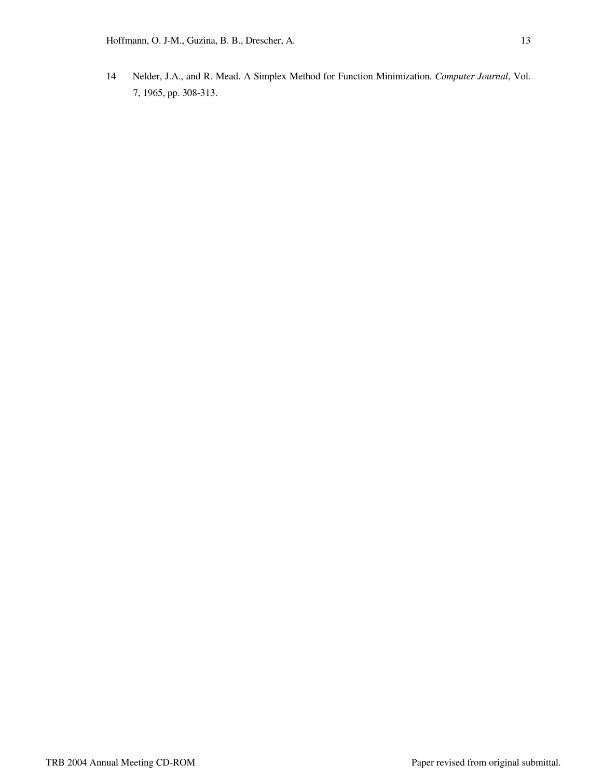14 Nelder, J.A., and R. Mead. A Simplex Method for Function Minimization. *Computer Journal*, Vol. 7, 1965, pp. 308-313.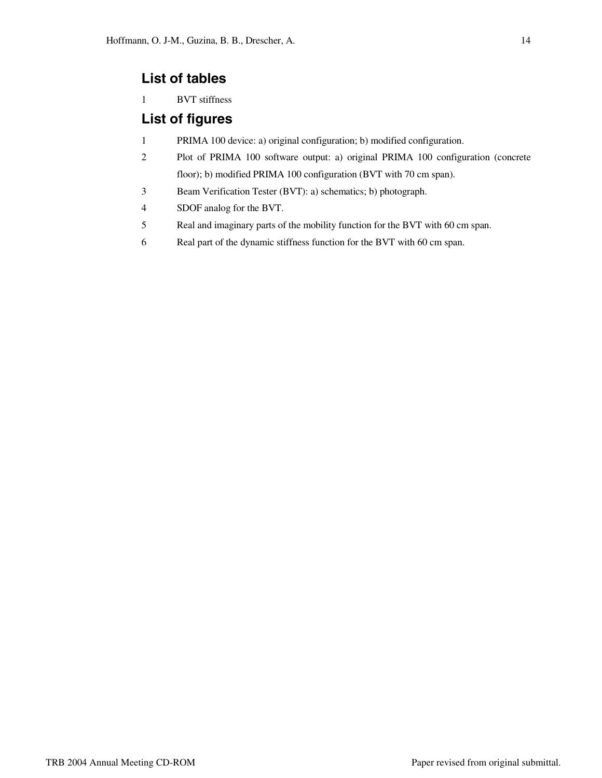# **List of tables**

1 BVT stiffness

# **List of figures**

- 1 PRIMA 100 device: a) original configuration; b) modified configuration.
- 2 Plot of PRIMA 100 software output: a) original PRIMA 100 configuration (concrete floor); b) modified PRIMA 100 configuration (BVT with 70 cm span).
- 3 Beam Verification Tester (BVT): a) schematics; b) photograph.
- 4 SDOF analog for the BVT.
- 5 Real and imaginary parts of the mobility function for the BVT with 60 cm span.
- 6 Real part of the dynamic stiffness function for the BVT with 60 cm span.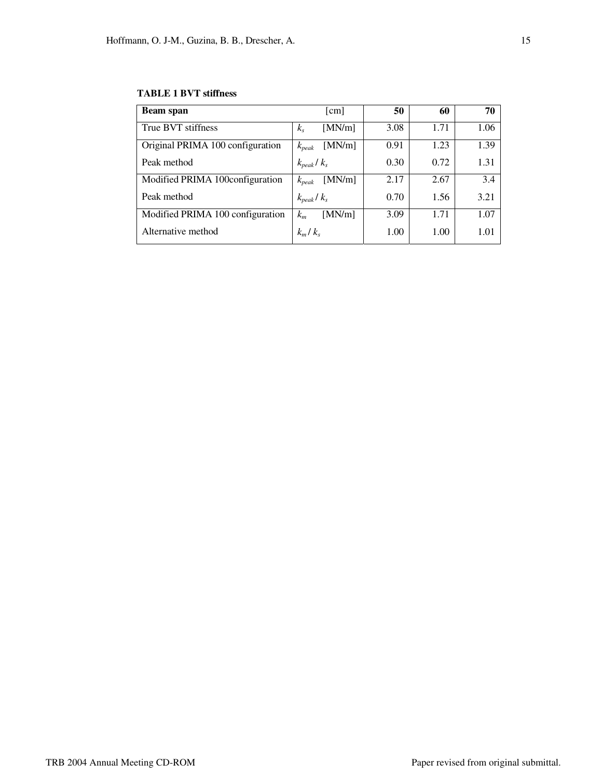### **TABLE 1 BVT stiffness**

| <b>Beam</b> span                 | $\lceil$ cm $\rceil$ | 50   | 60   | 70   |
|----------------------------------|----------------------|------|------|------|
| True BVT stiffness               | [MN/m]<br>$k_{s}$    | 3.08 | 1.71 | 1.06 |
| Original PRIMA 100 configuration | [MN/m]<br>$k_{peak}$ | 0.91 | 1.23 | 1.39 |
| Peak method                      | $k_{peak}/k_s$       | 0.30 | 0.72 | 1.31 |
| Modified PRIMA 100 configuration | [MN/m]<br>$k_{peak}$ | 2.17 | 2.67 | 3.4  |
| Peak method                      | $k_{peak}/k_s$       | 0.70 | 1.56 | 3.21 |
| Modified PRIMA 100 configuration | [MN/m]<br>$k_m$      | 3.09 | 1.71 | 1.07 |
| Alternative method               | $k_m/k_s$            | 1.00 | 1.00 | 1.01 |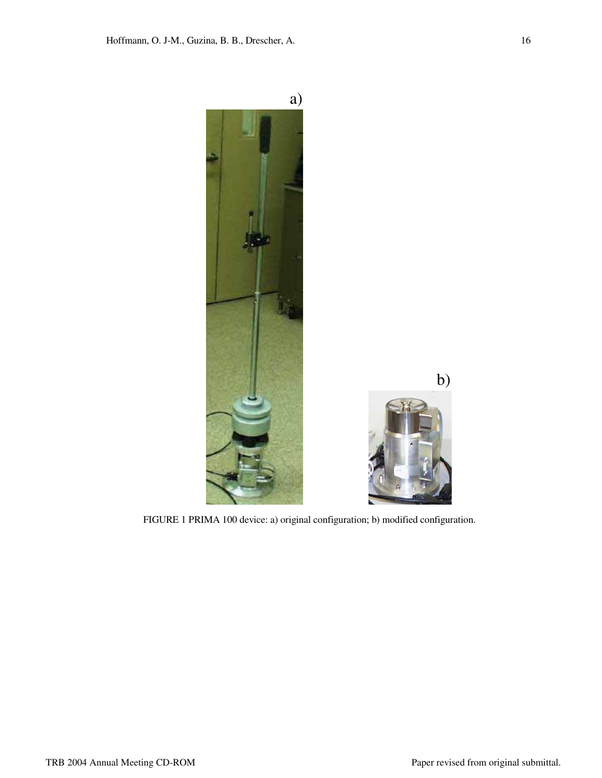

FIGURE 1 PRIMA 100 device: a) original configuration; b) modified configuration.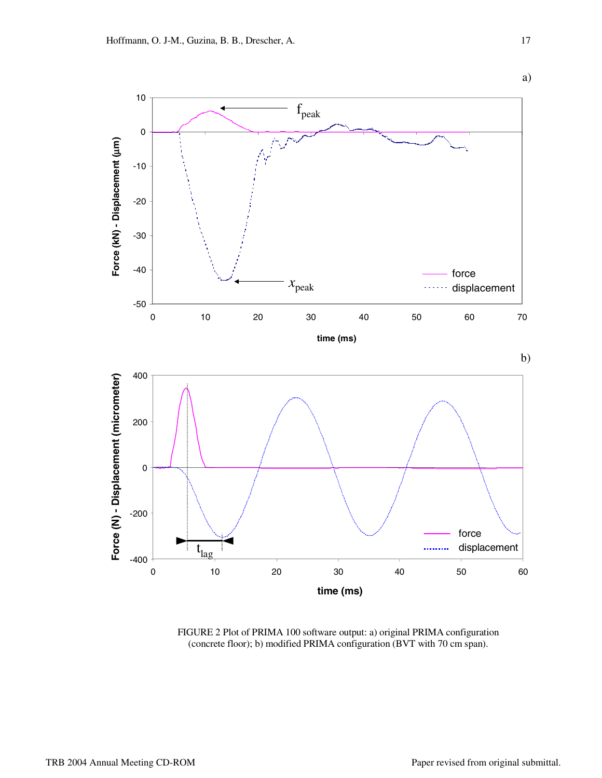a)



FIGURE 2 Plot of PRIMA 100 software output: a) original PRIMA configuration (concrete floor); b) modified PRIMA configuration (BVT with 70 cm span).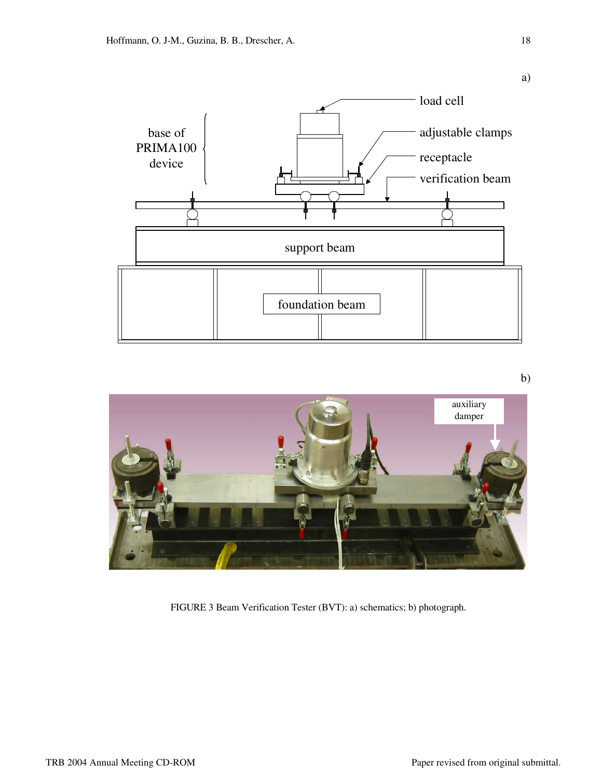

a)

b)



FIGURE 3 Beam Verification Tester (BVT): a) schematics; b) photograph.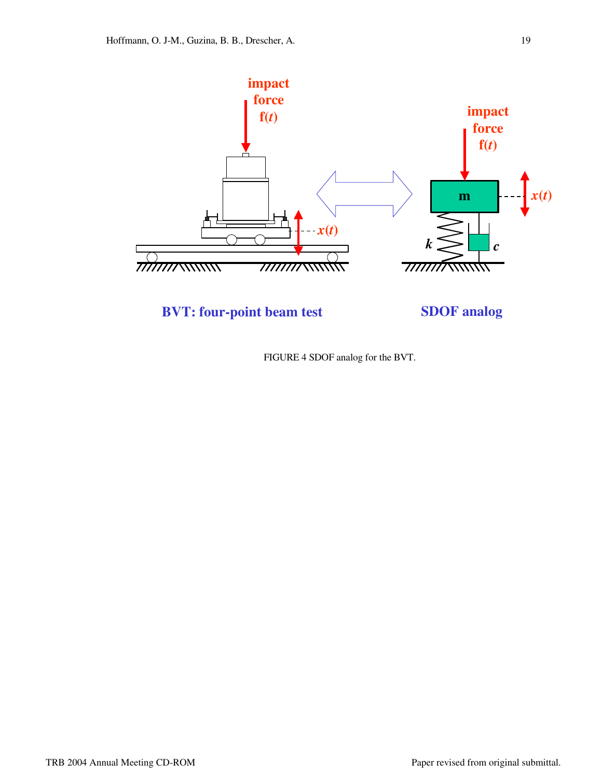

**BVT: four-point beam test SDOF analog**

FIGURE 4 SDOF analog for the BVT.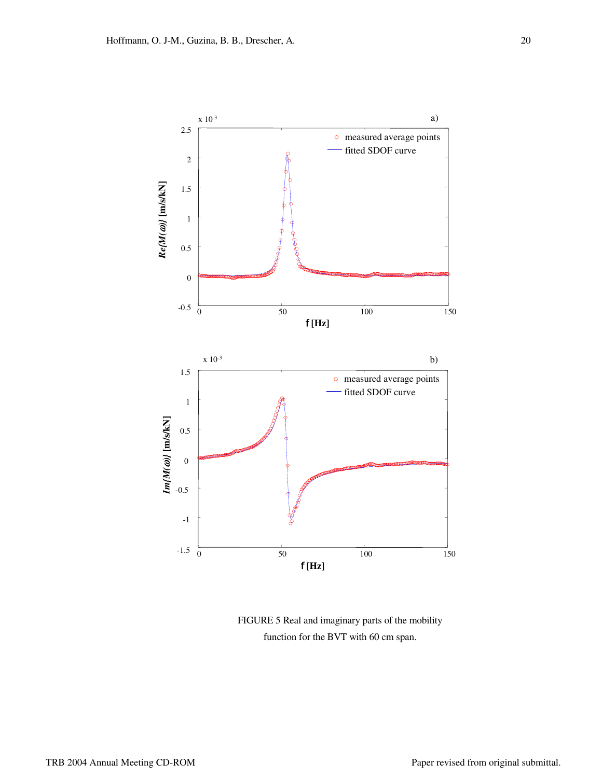

FIGURE 5 Real and imaginary parts of the mobility function for the BVT with 60 cm span.